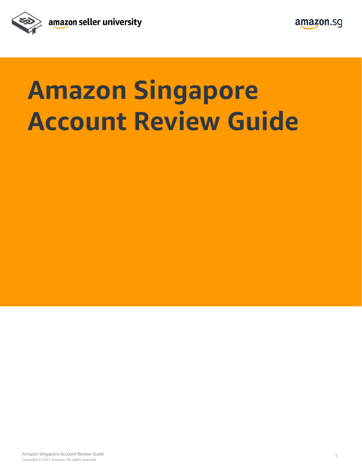



## **Amazon Singapore Account Review Guide**

Copyright © 2021 Amazon. All rights reserved. Amazon Singapore Account Review Guide 100 and 200 and 200 and 200 and 200 and 200 and 200 and 200 and 200 and 200 and 200 and 200 and 200 and 200 and 200 and 200 and 200 and 200 and 200 and 200 and 200 and 200 and 200 and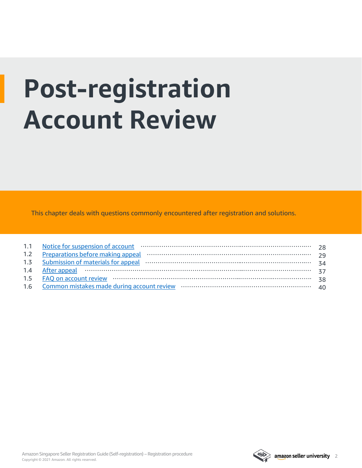# **Post-registration Account Review**

This chapter deals with questions commonly encountered after registration and solutions.

| 1.2 Preparations before making appeal manufactured continuum contractors and preparations before making appeal      | 29  |
|---------------------------------------------------------------------------------------------------------------------|-----|
| 1.3 Submission of materials for appeal material contracts and all the submission of materials for appeal materials. | -34 |
| 1.4 After appeal minimum minimum minimum minimum minimum 37                                                         |     |
|                                                                                                                     | 38  |
|                                                                                                                     | 40  |

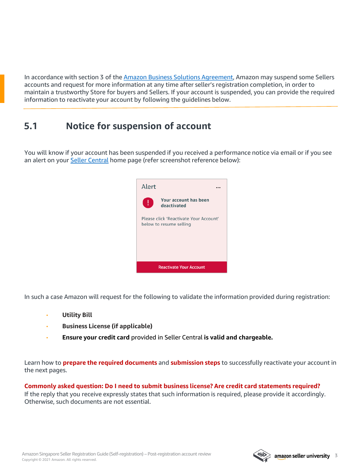<span id="page-2-0"></span>In accordance with section 3 of the [Amazon Business Solutions Agreement](https://sellercentral.amazon.sg/gp/help/external/G1791), Amazon may suspend some Sellers accounts and request for more information at any time after seller's registration completion, in order to maintain a trustworthy Store for buyers and Sellers. If your account is suspended, you can provide the required information to reactivate your account by following the guidelines below.

## **5.1 Notice for suspension of account**

You will know if your account has been suspended if you received a performance notice via email or if you see an alert on your [Seller Central](http://www.sellercentral.amazon.sg/) home page (refer screenshot reference below):



In such a case Amazon will request for the following to validate the information provided during registration:

- **Utility Bill**
- **Business License (if applicable)**
- **Ensure your credit card** provided in Seller Central **is valid and chargeable.**

Learn how to **prepare the required documents** and **submission steps** to successfully reactivate your account in the next pages.

**Commonly asked question: Do I need to submit business license? Are credit card statements required?** If the reply that you receive expressly states that such information is required, please provide it accordingly. Otherwise, such documents are not essential.

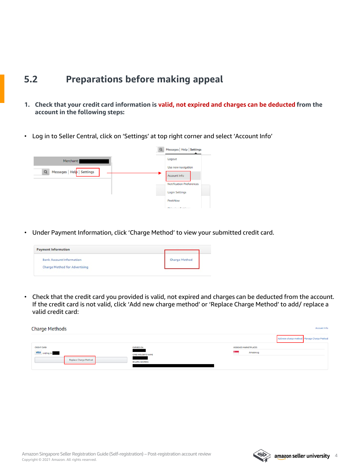- <span id="page-3-0"></span>**1. Check that your credit card information is valid, not expired and charges can be deducted from the account in the following steps:**
- Log in to Seller Central, click on 'Settings' at top right corner and select 'Account Info'



• Under Payment Information, click 'Charge Method' to view your submitted credit card.

| <b>Payment Information</b>           |                      |
|--------------------------------------|----------------------|
| <b>Bank Account Information</b>      | <b>Charge Method</b> |
| <b>Charge Method for Advertising</b> |                      |

• Check that the credit card you provided is valid, not expired and charges can be deducted from the account. If the credit card is not valid, click 'Add new charge method' or 'Replace Charge Method' to add/ replace a valid credit card:

| <b>Charge Methods</b>                                                       |                                                                          | <b>Account Info</b>                        |
|-----------------------------------------------------------------------------|--------------------------------------------------------------------------|--------------------------------------------|
|                                                                             |                                                                          | Add new charge method Manage Charge Method |
| <b>CREDIT CARD</b><br><b>VISA</b> ending in<br><b>Replace Charge Method</b> | <b>EXPIRES ON</b><br><b>CARD HOLDER'S NAME</b><br><b>BILLING ADDRESS</b> | <b>ASSIGNED MARKETPLACES</b><br>Amazon.sg  |

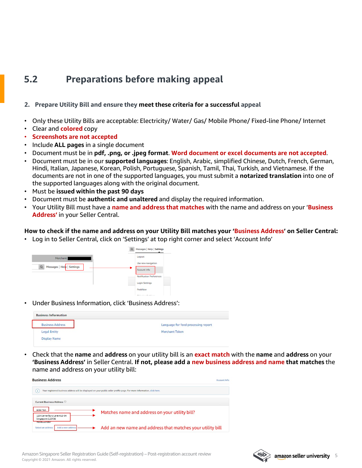#### **2. Prepare Utility Bill and ensure they meet these criteria for a successful appeal**

- Only these Utility Bills are acceptable: Electricity/ Water/ Gas/ Mobile Phone/ Fixed-line Phone/ Internet
- Clear and **colored** copy
- **Screenshots are not accepted**
- Include **ALL pages** in a single document
- Document must be in **pdf, .png, or .jpeg format**. **Word document or excel documents are not accepted**.
- Document must be in our **supported languages**: English, Arabic, simplified Chinese, Dutch, French, German, Hindi, Italian, Japanese, Korean, Polish, Portuguese, Spanish, Tamil, Thai, Turkish, and Vietnamese. If the documents are not in one of the supported languages, you must submit a **notarized translation** into one of the supported languages along with the original document.
- Must be **issued within the past 90 days**
- Document must be **authentic and unaltered** and display the required information.
- Your Utility Bill must have a **name and address that matches** with the name and address on your '**Business Address'** in your Seller Central.

#### **How to check if the name and address on your Utility Bill matches your 'Business Address' on Seller Central:**

• Log in to Seller Central, click on 'Settings' at top right corner and select 'Account Info'



• Under Business Information, click 'Business Address':

| <b>Business Information</b>                |                                     |
|--------------------------------------------|-------------------------------------|
| <b>Business Address</b>                    | Language for feed processing report |
| <b>Legal Entity</b><br><b>Display Name</b> | Merchant Token                      |

• Check that the **name** and **address** on your utility bill is an **exact match** with the **name** and **address** on your **'Business Address'** in Seller Central. **If not, please add a new business address and name that matches** the name and address on your utility bill:

| <b>Business Address</b><br>Account Info                       |                                                                                                                          |  |  |
|---------------------------------------------------------------|--------------------------------------------------------------------------------------------------------------------------|--|--|
|                                                               | Your registered business address will be displayed on your public seller profile page. For more information, click here. |  |  |
| <b>Current Business Address</b>                               |                                                                                                                          |  |  |
| John Tan                                                      | Matches name and address on your utility bill?                                                                           |  |  |
| 123 Canterbury Lane #12-34<br>Singapore 123456<br>+6581739507 |                                                                                                                          |  |  |
| Add a new address<br>Select an address                        | Add an new name and address that matches your utility bill                                                               |  |  |

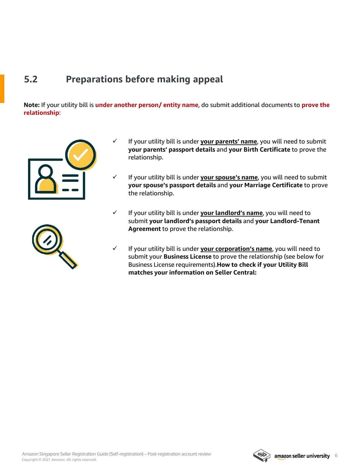**Note:** If your utility bill is **under another person/ entity name**, do submit additional documents to **prove the relationship**:





- $\checkmark$  If your utility bill is under **your parents' name**, you will need to submit **your parents' passport details** and **your Birth Certificate** to prove the relationship.
- $\checkmark$  If your utility bill is under **your spouse's name**, you will need to submit **your spouse's passport details** and **your Marriage Certificate** to prove the relationship.
- $\checkmark$  If your utility bill is under **your landlord's name**, you will need to submit **your landlord's passport details** and **your Landlord-Tenant Agreement** to prove the relationship.
- $\checkmark$  If your utility bill is under your corporation's name, you will need to submit your **Business License** to prove the relationship (see below for Business License requirements).**How to check if your Utility Bill matches your information on Seller Central:**

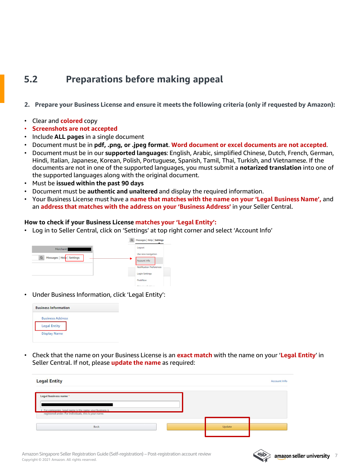- **2. Prepare your Business License and ensure it meets the following criteria (only if requested by Amazon):**
- Clear and **colored** copy
- **Screenshots are not accepted**
- Include **ALL pages** in a single document
- Document must be in **pdf, .png, or .jpeg format**. **Word document or excel documents are not accepted**.
- Document must be in our **supported languages**: English, Arabic, simplified Chinese, Dutch, French, German, Hindi, Italian, Japanese, Korean, Polish, Portuguese, Spanish, Tamil, Thai, Turkish, and Vietnamese. If the documents are not in one of the supported languages, you must submit a **notarized translation** into one of the supported languages along with the original document.
- Must be **issued within the past 90 days**
- Document must be **authentic and unaltered** and display the required information.
- Your Business License must have a **name that matches with the name on your 'Legal Business Name',** and an **address that matches with the address on your 'Business Address'** in your Seller Central.

#### **How to check if your Business License matches your 'Legal Entity':**

• Log in to Seller Central, click on 'Settings' at top right corner and select 'Account Info'



• Under Business Information, click 'Legal Entity':

| <b>Business Information</b> |  |  |
|-----------------------------|--|--|
| <b>Business Address</b>     |  |  |
| <b>Legal Entity</b>         |  |  |
| <b>Display Name</b>         |  |  |

• Check that the name on your Business License is an **exact match** with the name on your '**Legal Entity**' in Seller Central. If not, please **update the name** as required:

| <b>Legal Entity</b>                                                                                             |        | <b>Account Info</b> |
|-----------------------------------------------------------------------------------------------------------------|--------|---------------------|
| Legal business name *                                                                                           |        |                     |
| For companies, legal name is the name your business is<br>registered under. For individuals, this is your name. |        |                     |
| Back                                                                                                            | Update |                     |
|                                                                                                                 |        |                     |

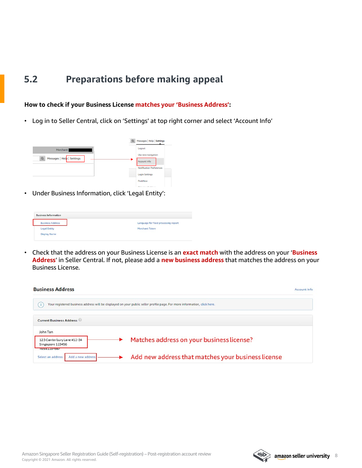#### <span id="page-7-0"></span>**How to check if your Business License matches your 'Business Address':**

• Log in to Seller Central, click on 'Settings' at top right corner and select 'Account Info'

|                                        | $\Omega$ | Messages   Help   Settings      |
|----------------------------------------|----------|---------------------------------|
| Merchant:                              |          | Logout                          |
|                                        |          | Use new navigation              |
| Messages   Help   Settings<br>$\alpha$ |          | Account Info                    |
|                                        |          | <b>Notification Preferences</b> |
|                                        |          | <b>Login Settings</b>           |
|                                        |          | PeekNow                         |

• Under Business Information, click 'Legal Entity':

| <b>Business Address</b> | Language for feed processing report        |
|-------------------------|--------------------------------------------|
| <b>Legal Entity</b>     | Merchant Token<br>이 그는 동생을 받아 보니 사람이 되었어요? |
| <b>Display Name</b>     | ______                                     |

• Check that the address on your Business License is an **exact match** with the address on your '**Business Address**' in Seller Central. If not, please add a **new business address** that matches the address on your Business License.



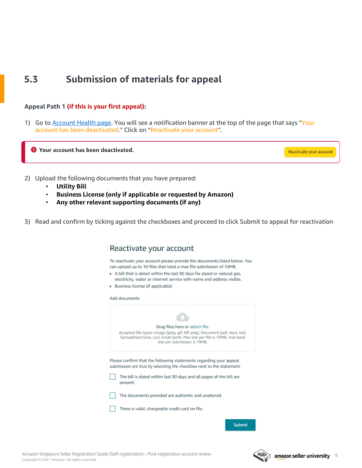## <span id="page-8-0"></span>**5.3 Submission of materials for appeal**

#### **Appeal Path 1 (if this is your first appeal):**

1) Go to **Account Health page**. You will see a notification banner at the top of the page that says "Your account has been deactivated." Click on "Reactivate your account".

**O** Your account has been deactivated.

Reactivate your account

- 2) Upload the following documents that you have prepared:
	- **Utility Bill**
	- **Business License (only if applicable or requested by Amazon)**
	- **Any other relevant supporting documents (if any)**
- 3) Read and confirm by ticking against the checkboxes and proceed to click Submit to appeal for reactivation

| Reactivate your account                                                                                                                                                                                                                                                                                                                     |  |  |  |
|---------------------------------------------------------------------------------------------------------------------------------------------------------------------------------------------------------------------------------------------------------------------------------------------------------------------------------------------|--|--|--|
| To reactivate your account please provide the documents listed below. You<br>can upload up to 10 files that total a max file submission of 10MB.<br>• A bill that is dated within the last 90 days for piped or natural gas,<br>electricity, water or internet service with name and address visible.<br>• Business license (if applicable) |  |  |  |
| Add documents                                                                                                                                                                                                                                                                                                                               |  |  |  |
| Drag files here or select file.<br>Accepted file types: Image (jpeg, gif, tiff, png), Document (pdf, docx, txt),<br>Spreadsheet (xlsx, csv), Email (eml). Max size per file is 10MB, max total<br>size per submission is 10MB.                                                                                                              |  |  |  |
| Please confirm that the following statements regarding your appeal<br>submission are true by selecting the checkbox next to the statement.<br>The bill is dated within last 90 days and all pages of the bill are<br>present.                                                                                                               |  |  |  |
| The documents provided are authentic and unaltered.<br>There is valid, chargeable credit card on file.                                                                                                                                                                                                                                      |  |  |  |
|                                                                                                                                                                                                                                                                                                                                             |  |  |  |

Copyright © 2021 Amazon. All rights reserved. Amazon Singapore Seller Registration Guide (Self-registration) – Post-registration account review



Submit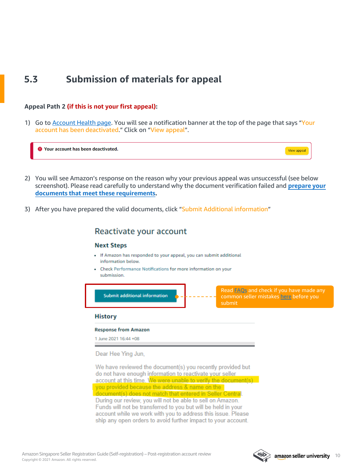## **5.3 Submission of materials for appeal**

#### **Appeal Path 2 (if this is not your first appeal):**

1) Go to [Account Health page.](https://sellercentral.amazon.sg/performance/dashboard) You will see a notification banner at the top of the page that says "Your account has been deactivated." Click on "View appeal".

| `Your account has been deactivated. |  |
|-------------------------------------|--|
|-------------------------------------|--|

- 2) You will see Amazon's response on the reason why your previous appeal was unsuccessful (see below [screenshot\). Please read carefully to understand why the document verification failed and](#page-3-0) **prepare your documents that meet these requirements.**
- 3) After you have prepared the valid documents, click "Submit Additional information"

#### Reactivate your account

#### **Next Steps**

- . If Amazon has responded to your appeal, you can submit additional information below.
- Check Performance Notifications for more information on your submission.



We have reviewed the document(s) you recently provided but do not have enough information to reactivate your seller account at this time. We were unable to verify the document(s) you provided because the address & name on the document(s) does not match that entered in Seller Central. During our review, you will not be able to sell on Amazon. Funds will not be transferred to you but will be held in your account while we work with you to address this issue. Please ship any open orders to avoid further impact to your account.

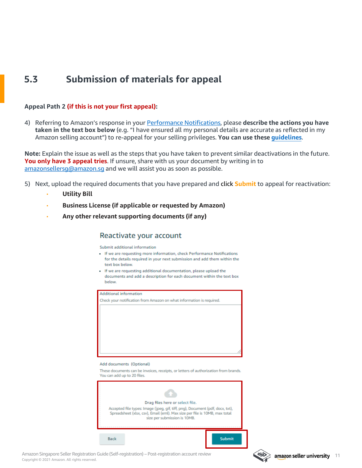## **5.3 Submission of materials for appeal**

#### **Appeal Path 2 (if this is not your first appeal):**

4) Referring to Amazon's response in your [Performance Notifications](https://sellercentral.amazon.sg/performance/notifications), please **describe the actions you have taken in the text box below** (e.g. "I have ensured all my personal details are accurate as reflected in my Amazon selling account") to re-appeal for your selling privileges. **You can use these [guidelines](https://sellercentral.amazon.sg/gp/help/201623610)**.

**Note:** Explain the issue as well as the steps that you have taken to prevent similar deactivations in the future. **You only have 3 appeal tries**. If unsure, share with us your document by writing in to [amazonsellersg@amazon.sg](mailto:amazonsellersg@amazon.sg) and we will assist you as soon as possible.

- 5) Next, upload the required documents that you have prepared and click **Submit** to appeal for reactivation:
	- **Utility Bill**
	- **Business License (if applicable or requested by Amazon)**
	- **Any other relevant supporting documents (if any)**

#### Reactivate your account

Submit additional information

- . If we are requesting more information, check Performance Notifications for the details required in your next submission and add them within the text hox below
- . If we are requesting additional documentation, please upload the documents and add a description for each document within the text box **helow**

| <b>Additional information</b>                                                 |                                                                                     |  |  |
|-------------------------------------------------------------------------------|-------------------------------------------------------------------------------------|--|--|
| Check your notification from Amazon on what information is required.          |                                                                                     |  |  |
|                                                                               |                                                                                     |  |  |
|                                                                               |                                                                                     |  |  |
|                                                                               |                                                                                     |  |  |
|                                                                               |                                                                                     |  |  |
|                                                                               |                                                                                     |  |  |
|                                                                               |                                                                                     |  |  |
|                                                                               |                                                                                     |  |  |
|                                                                               |                                                                                     |  |  |
|                                                                               |                                                                                     |  |  |
|                                                                               |                                                                                     |  |  |
| Add documents (Optional)                                                      |                                                                                     |  |  |
|                                                                               | These documents can be invoices, receipts, or letters of authorization from brands. |  |  |
| You can add up to 20 files.                                                   |                                                                                     |  |  |
|                                                                               |                                                                                     |  |  |
|                                                                               |                                                                                     |  |  |
|                                                                               |                                                                                     |  |  |
|                                                                               |                                                                                     |  |  |
| Drag files here or select file.                                               |                                                                                     |  |  |
| Accepted file types: Image (jpeg, gif, tiff, png), Document (pdf, docx, txt), |                                                                                     |  |  |
|                                                                               | Spreadsheet (xlsx, csv), Email (eml). Max size per file is 10MB, max total          |  |  |
|                                                                               | size per submission is 10MB.                                                        |  |  |
|                                                                               |                                                                                     |  |  |
|                                                                               |                                                                                     |  |  |
|                                                                               |                                                                                     |  |  |
| <b>Back</b>                                                                   | <b>Submit</b>                                                                       |  |  |
|                                                                               |                                                                                     |  |  |

Copyright © 2021 Amazon. All rights reserved. Amazon Singapore Seller Registration Guide (Self-registration) – Post-registration account review

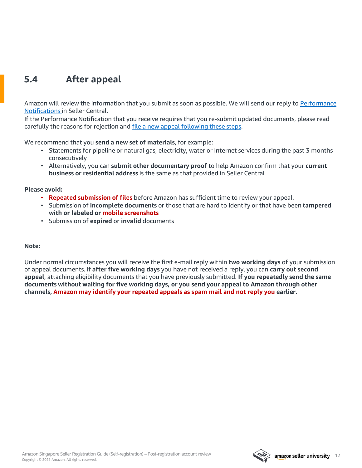## <span id="page-11-0"></span>**5.4 After appeal**

[Amazon will review the information that you submit as soon as possible. We will send our reply to Performance](https://sellercentral.amazon.sg/performance/notifications) Notifications in Seller Central.

If the Performance Notification that you receive requires that you re-submit updated documents, please read carefully the reasons for rejection and [file a new appeal following these steps](#page-7-0).

We recommend that you **send a new set of materials**, for example:

- Statements for pipeline or natural gas, electricity, water or Internet services during the past 3 months consecutively
- Alternatively, you can **submit other documentary proof** to help Amazon confirm that your **current business or residential address** is the same as that provided in Seller Central

#### **Please avoid:**

- **Repeated submission of files** before Amazon has sufficient time to review your appeal.
- Submission of **incomplete documents** or those that are hard to identify or that have been **tampered with or labeled or mobile screenshots**
- Submission of **expired** or **invalid** documents

#### **Note:**

Under normal circumstances you will receive the first e-mail reply within **two working days** of your submission of appeal documents. If **after five working days** you have not received a reply, you can **carry out second appeal**, attaching eligibility documents that you have previously submitted. **If you repeatedly send the same documents without waiting for five working days, or you send your appeal to Amazon through other channels, Amazon may identify your repeated appeals as spam mail and not reply you earlier.**

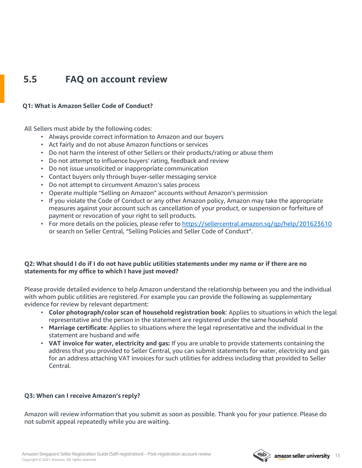### <span id="page-12-0"></span>**5.5 FAQ on account review**

#### **Q1: What is Amazon Seller Code of Conduct?**

All Sellers must abide by the following codes:

- Always provide correct information to Amazon and our buyers
- Act fairly and do not abuse Amazon functions or services
- Do not harm the interest of other Sellers or their products/rating or abuse them
- Do not attempt to influence buyers' rating, feedback and review
- Do not issue unsolicited or inappropriate communication
- Contact buyers only through buyer-seller messaging service
- Do not attempt to circumvent Amazon's sales process
- Operate multiple "Selling on Amazon" accounts without Amazon's permission
- If you violate the Code of Conduct or any other Amazon policy, Amazon may take the appropriate measures against your account such as cancellation of your product, or suspension or forfeiture of payment or revocation of your right to sell products.
- For more details on the policies, please refer to https://sellercentral.amazon.sq/qp/help/201623610 or search on Seller Central, "Selling Policies and Seller Code of Conduct".

#### **Q2: What should I do if I do not have public utilities statements under my name or if there are no statements for my office to which I have just moved?**

Please provide detailed evidence to help Amazon understand the relationship between you and the individual with whom public utilities are registered. For example you can provide the following as supplementary evidence for review by relevant department:

- **Color photograph/color scan of household registration book**: Applies to situations in which the legal representative and the person in the statement are registered under the same household
- **Marriage certificate**: Applies to situations where the legal representative and the individual in the statement are husband and wife
- **VAT invoice for water, electricity and gas:** If you are unable to provide statements containing the address that you provided to Seller Central, you can submit statements for water, electricity and gas for an address attaching VAT invoices for such utilities for address including that provided to Seller Central.

#### **Q3: When can I receive Amazon's reply?**

Amazon will review information that you submit as soon as possible. Thank you for your patience. Please do not submit appeal repeatedly while you are waiting.

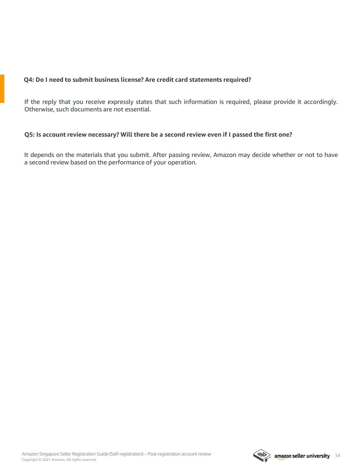#### **Q4: Do I need to submit business license? Are credit card statements required?**

If the reply that you receive expressly states that such information is required, please provide it accordingly. Otherwise, such documents are not essential.

#### **Q5: Is account review necessary? Will there be a second review even if I passed the first one?**

It depends on the materials that you submit. After passing review, Amazon may decide whether or not to have a second review based on the performance of your operation.